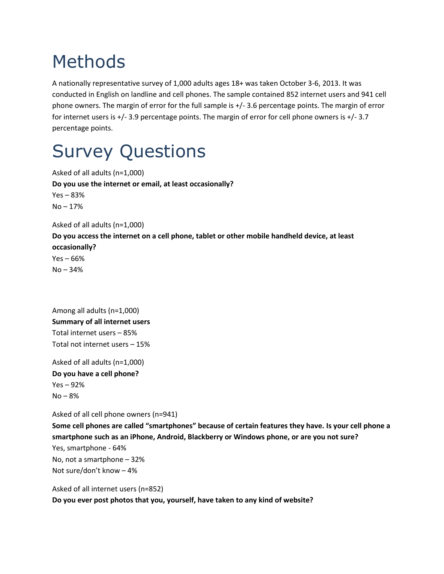## Methods

A nationally representative survey of 1,000 adults ages 18+ was taken October 3-6, 2013. It was conducted in English on landline and cell phones. The sample contained 852 internet users and 941 cell phone owners. The margin of error for the full sample is +/- 3.6 percentage points. The margin of error for internet users is +/- 3.9 percentage points. The margin of error for cell phone owners is +/- 3.7 percentage points.

## Survey Questions

Asked of all adults (n=1,000) **Do you use the internet or email, at least occasionally?** Yes – 83% No – 17% Asked of all adults (n=1,000) **Do you access the internet on a cell phone, tablet or other mobile handheld device, at least occasionally?** Yes – 66% No – 34%

Among all adults (n=1,000) **Summary of all internet users** Total internet users – 85% Total not internet users – 15%

Asked of all adults (n=1,000) **Do you have a cell phone?** Yes – 92%  $No - 8%$ 

Asked of all cell phone owners (n=941)

**Some cell phones are called "smartphones" because of certain features they have. Is your cell phone a smartphone such as an iPhone, Android, Blackberry or Windows phone, or are you not sure?** Yes, smartphone - 64% No, not a smartphone – 32% Not sure/don't know – 4%

Asked of all internet users (n=852) **Do you ever post photos that you, yourself, have taken to any kind of website?**